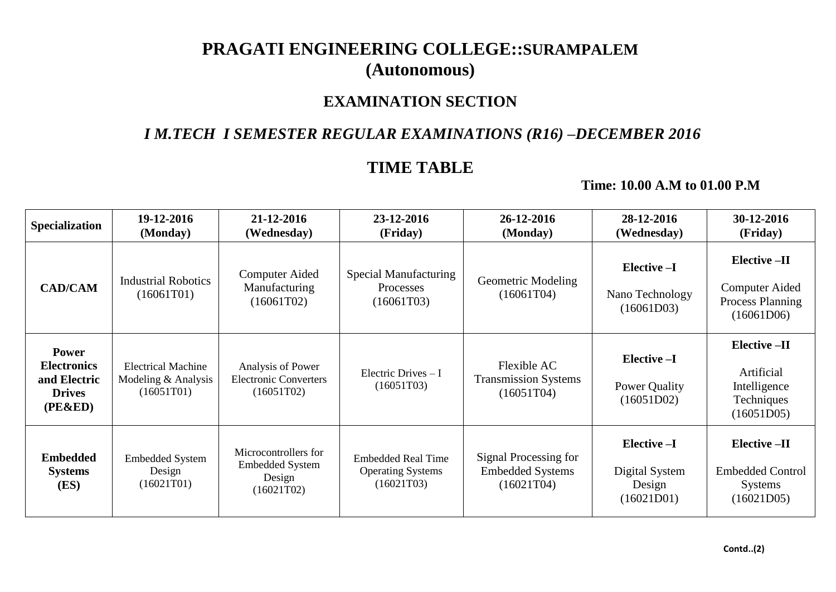# **PRAGATI ENGINEERING COLLEGE::SURAMPALEM (Autonomous)**

### **EXAMINATION SECTION**

#### *I M.TECH I SEMESTER REGULAR EXAMINATIONS (R16) –DECEMBER 2016*

## **TIME TABLE**

#### **Time: 10.00 A.M to 01.00 P.M**

| <b>Specialization</b>                                                          | 19-12-2016<br>(Monday)                                           | 21-12-2016<br>(Wednesday)                                              | 23-12-2016<br>(Friday)                                              | 26-12-2016<br>(Monday)                                         | 28-12-2016<br>(Wednesday)                             | 30-12-2016<br>(Friday)                                                  |
|--------------------------------------------------------------------------------|------------------------------------------------------------------|------------------------------------------------------------------------|---------------------------------------------------------------------|----------------------------------------------------------------|-------------------------------------------------------|-------------------------------------------------------------------------|
| <b>CAD/CAM</b>                                                                 | <b>Industrial Robotics</b><br>(16061T01)                         | Computer Aided<br>Manufacturing<br>(16061T02)                          | Special Manufacturing<br>Processes<br>(16061T03)                    | <b>Geometric Modeling</b><br>(16061T04)                        | Elective-I<br>Nano Technology<br>(16061D03)           | Elective -II<br>Computer Aided<br><b>Process Planning</b><br>(16061D06) |
| <b>Power</b><br><b>Electronics</b><br>and Electric<br><b>Drives</b><br>(PE&ED) | <b>Electrical Machine</b><br>Modeling $&$ Analysis<br>(16051T01) | Analysis of Power<br><b>Electronic Converters</b><br>(16051T02)        | Electric Drives $-I$<br>(16051T03)                                  | Flexible AC<br><b>Transmission Systems</b><br>(16051T04)       | Elective -I<br>Power Quality<br>(16051D02)            | Elective -II<br>Artificial<br>Intelligence<br>Techniques<br>(16051D05)  |
| <b>Embedded</b><br><b>Systems</b><br>(ES)                                      | <b>Embedded System</b><br>Design<br>(16021T01)                   | Microcontrollers for<br><b>Embedded System</b><br>Design<br>(16021T02) | <b>Embedded Real Time</b><br><b>Operating Systems</b><br>(16021T03) | Signal Processing for<br><b>Embedded Systems</b><br>(16021T04) | Elective -I<br>Digital System<br>Design<br>(16021D01) | $Elective - II$<br><b>Embedded Control</b><br>Systems<br>(16021D05)     |